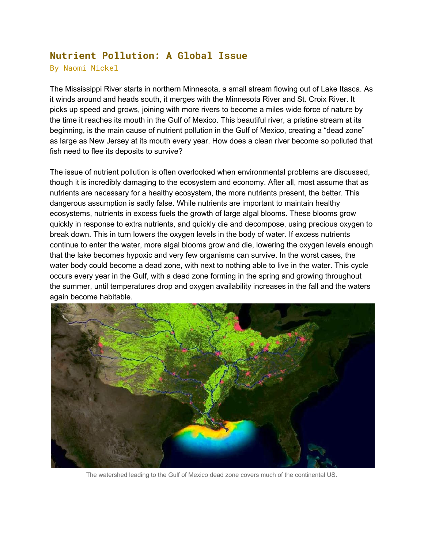## **Nutrient Pollution: A Global Issue**

By Naomi Nickel

The Mississippi River starts in northern Minnesota, a small stream flowing out of Lake Itasca. As it winds around and heads south, it merges with the Minnesota River and St. Croix River. It picks up speed and grows, joining with more rivers to become a miles wide force of nature by the time it reaches its mouth in the Gulf of Mexico. This beautiful river, a pristine stream at its beginning, is the main cause of nutrient pollution in the Gulf of Mexico, creating a "dead zone" as large as New Jersey at its mouth every year. How does a clean river become so polluted that fish need to flee its deposits to survive?

The issue of nutrient pollution is often overlooked when environmental problems are discussed, though it is incredibly damaging to the ecosystem and economy. After all, most assume that as nutrients are necessary for a healthy ecosystem, the more nutrients present, the better. This dangerous assumption is sadly false. While nutrients are important to maintain healthy ecosystems, nutrients in excess fuels the growth of large algal blooms. These blooms grow quickly in response to extra nutrients, and quickly die and decompose, using precious oxygen to break down. This in turn lowers the oxygen levels in the body of water. If excess nutrients continue to enter the water, more algal blooms grow and die, lowering the oxygen levels enough that the lake becomes hypoxic and very few organisms can survive. In the worst cases, the water body could become a dead zone, with next to nothing able to live in the water. This cycle occurs every year in the Gulf, with a dead zone forming in the spring and growing throughout the summer, until temperatures drop and oxygen availability increases in the fall and the waters again become habitable.



The watershed leading to the Gulf of Mexico dead zone covers much of the continental US.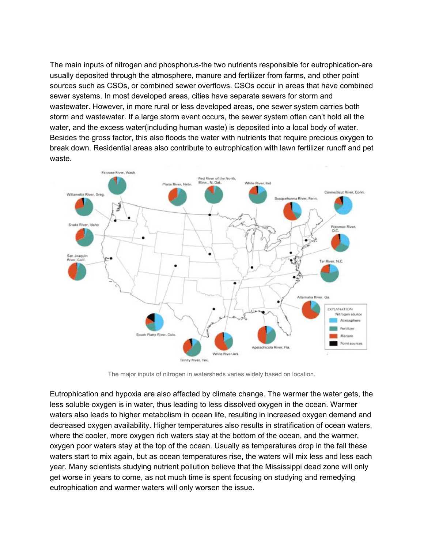The main inputs of nitrogen and phosphorus-the two nutrients responsible for eutrophication-are usually deposited through the atmosphere, manure and fertilizer from farms, and other point sources such as CSOs, or combined sewer overflows. CSOs occur in areas that have combined sewer systems. In most developed areas, cities have separate sewers for storm and wastewater. However, in more rural or less developed areas, one sewer system carries both storm and wastewater. If a large storm event occurs, the sewer system often can't hold all the water, and the excess water(including human waste) is deposited into a local body of water. Besides the gross factor, this also floods the water with nutrients that require precious oxygen to break down. Residential areas also contribute to eutrophication with lawn fertilizer runoff and pet waste.



The major inputs of nitrogen in watersheds varies widely based on location.

Eutrophication and hypoxia are also affected by climate change. The warmer the water gets, the less soluble oxygen is in water, thus leading to less dissolved oxygen in the ocean. Warmer waters also leads to higher metabolism in ocean life, resulting in increased oxygen demand and decreased oxygen availability. Higher temperatures also results in stratification of ocean waters, where the cooler, more oxygen rich waters stay at the bottom of the ocean, and the warmer, oxygen poor waters stay at the top of the ocean. Usually as temperatures drop in the fall these waters start to mix again, but as ocean temperatures rise, the waters will mix less and less each year. Many scientists studying nutrient pollution believe that the Mississippi dead zone will only get worse in years to come, as not much time is spent focusing on studying and remedying eutrophication and warmer waters will only worsen the issue.